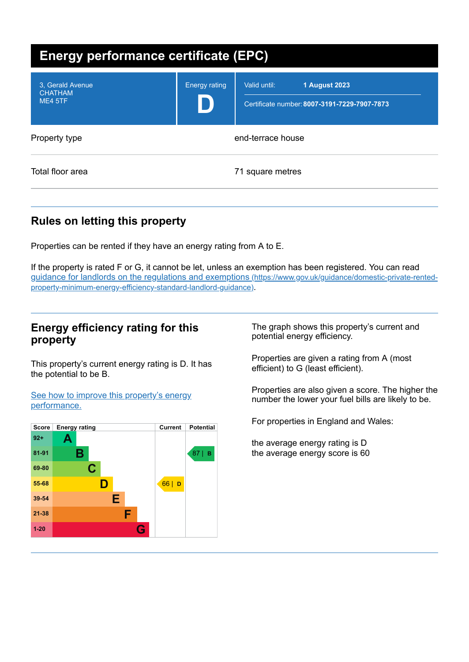| <b>Energy performance certificate (EPC)</b>   |                      |                                                                                      |  |
|-----------------------------------------------|----------------------|--------------------------------------------------------------------------------------|--|
| 3. Gerald Avenue<br><b>CHATHAM</b><br>ME4 5TF | <b>Energy rating</b> | Valid until:<br><b>1 August 2023</b><br>Certificate number: 8007-3191-7229-7907-7873 |  |
| Property type                                 | end-terrace house    |                                                                                      |  |
| Total floor area                              |                      | 71 square metres                                                                     |  |

# **Rules on letting this property**

Properties can be rented if they have an energy rating from A to E.

If the property is rated F or G, it cannot be let, unless an exemption has been registered. You can read guidance for landlords on the regulations and exemptions (https://www.gov.uk/guidance/domestic-private-rented[property-minimum-energy-efficiency-standard-landlord-guidance\)](https://www.gov.uk/guidance/domestic-private-rented-property-minimum-energy-efficiency-standard-landlord-guidance).

## **Energy efficiency rating for this property**

This property's current energy rating is D. It has the potential to be B.

See how to improve this property's energy [performance.](#page-2-0)



The graph shows this property's current and potential energy efficiency.

Properties are given a rating from A (most efficient) to G (least efficient).

Properties are also given a score. The higher the number the lower your fuel bills are likely to be.

For properties in England and Wales:

the average energy rating is D the average energy score is 60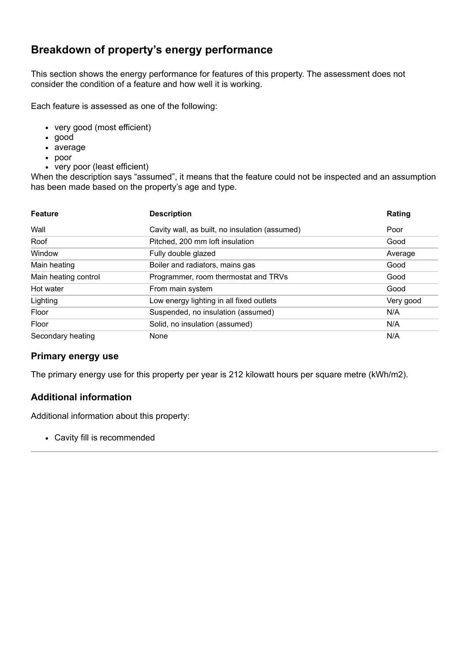# **Breakdown of property's energy performance**

This section shows the energy performance for features of this property. The assessment does not consider the condition of a feature and how well it is working.

Each feature is assessed as one of the following:

- very good (most efficient)
- good
- average
- poor
- very poor (least efficient)

When the description says "assumed", it means that the feature could not be inspected and an assumption has been made based on the property's age and type.

| <b>Feature</b>       | <b>Description</b>                             | Rating    |
|----------------------|------------------------------------------------|-----------|
| Wall                 | Cavity wall, as built, no insulation (assumed) | Poor      |
| Roof                 | Pitched, 200 mm loft insulation                | Good      |
| Window               | Fully double glazed                            | Average   |
| Main heating         | Boiler and radiators, mains gas                | Good      |
| Main heating control | Programmer, room thermostat and TRVs           | Good      |
| Hot water            | From main system                               | Good      |
| Lighting             | Low energy lighting in all fixed outlets       | Very good |
| Floor                | Suspended, no insulation (assumed)             | N/A       |
| Floor                | Solid, no insulation (assumed)                 | N/A       |
| Secondary heating    | None                                           | N/A       |

#### **Primary energy use**

The primary energy use for this property per year is 212 kilowatt hours per square metre (kWh/m2).

## **Additional information**

Additional information about this property:

Cavity fill is recommended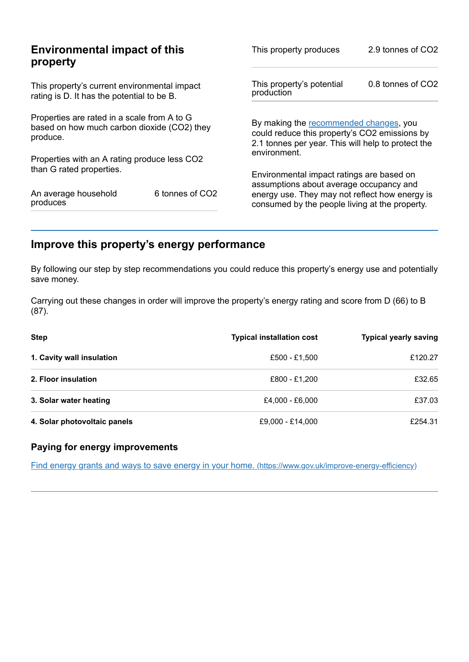|                                                                                                        | This property produces                                                                           | 2.9 tonnes of CO2                                                                                                                             |  |
|--------------------------------------------------------------------------------------------------------|--------------------------------------------------------------------------------------------------|-----------------------------------------------------------------------------------------------------------------------------------------------|--|
| This property's current environmental impact<br>rating is D. It has the potential to be B.             |                                                                                                  | 0.8 tonnes of CO2                                                                                                                             |  |
| Properties are rated in a scale from A to G<br>based on how much carbon dioxide (CO2) they<br>produce. |                                                                                                  | By making the recommended changes, you<br>could reduce this property's CO2 emissions by<br>2.1 tonnes per year. This will help to protect the |  |
|                                                                                                        |                                                                                                  |                                                                                                                                               |  |
|                                                                                                        | Environmental impact ratings are based on                                                        |                                                                                                                                               |  |
| 6 tonnes of CO2                                                                                        | energy use. They may not reflect how energy is<br>consumed by the people living at the property. |                                                                                                                                               |  |
|                                                                                                        | <b>Environmental impact of this</b><br>Properties with an A rating produce less CO2              | This property's potential<br>production<br>environment.<br>assumptions about average occupancy and                                            |  |

# <span id="page-2-0"></span>**Improve this property's energy performance**

By following our step by step recommendations you could reduce this property's energy use and potentially save money.

Carrying out these changes in order will improve the property's energy rating and score from D (66) to B (87).

| <b>Step</b>                  | <b>Typical installation cost</b> | <b>Typical yearly saving</b> |
|------------------------------|----------------------------------|------------------------------|
| 1. Cavity wall insulation    | £500 - £1.500                    | £120.27                      |
| 2. Floor insulation          | £800 - £1.200                    | £32.65                       |
| 3. Solar water heating       | £4,000 - £6,000                  | £37.03                       |
| 4. Solar photovoltaic panels | £9,000 - £14,000                 | £254.31                      |

### **Paying for energy improvements**

Find energy grants and ways to save energy in your home. [\(https://www.gov.uk/improve-energy-efficiency\)](https://www.gov.uk/improve-energy-efficiency)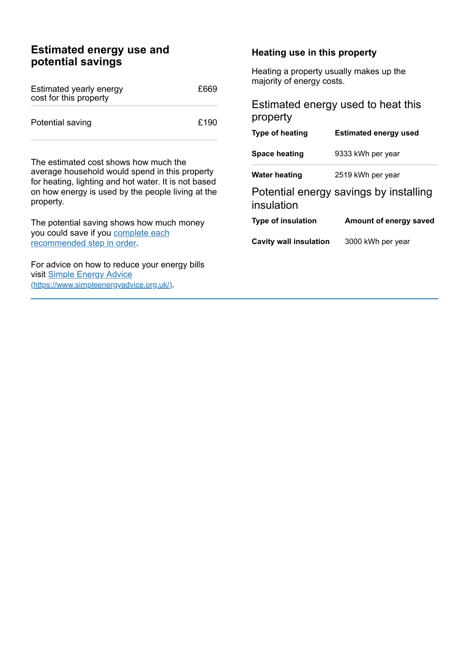## **Estimated energy use and potential savings**

| Estimated yearly energy<br>cost for this property | £669 |
|---------------------------------------------------|------|
| Potential saving                                  | £190 |

The estimated cost shows how much the average household would spend in this property for heating, lighting and hot water. It is not based on how energy is used by the people living at the property.

The potential saving shows how much money you could save if you complete each [recommended](#page-2-0) step in order.

For advice on how to reduce your energy bills visit Simple Energy Advice [\(https://www.simpleenergyadvice.org.uk/\)](https://www.simpleenergyadvice.org.uk/).

#### **Heating use in this property**

Heating a property usually makes up the majority of energy costs.

## Estimated energy used to heat this property

| Type of heating                                      | <b>Estimated energy used</b> |  |
|------------------------------------------------------|------------------------------|--|
| Space heating                                        | 9333 kWh per year            |  |
| Water heating                                        | 2519 kWh per year            |  |
| Potential energy savings by installing<br>insulation |                              |  |
| <b>Type of insulation</b>                            | Amount of energy saved       |  |
| <b>Cavity wall insulation</b>                        | 3000 kWh per year            |  |